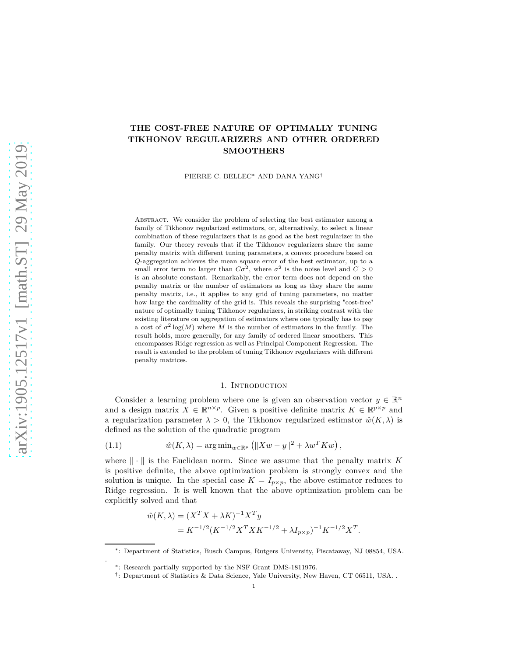# **THE COST-FREE NATURE OF OPTIMALLY TUNING TIKHONOV REGULARIZERS AND OTHER ORDERED SMOOTHERS**

PIERRE C. BELLEC<sup>∗</sup> AND DANA YANG†

ABSTRACT. We consider the problem of selecting the best estimator among a family of Tikhonov regularized estimators, or, alternatively, to select a linear combination of these regularizers that is as good as the best regularizer in the family. Our theory reveals that if the Tikhonov regularizers share the same penalty matrix with different tuning parameters, a convex procedure based on *Q*-aggregation achieves the mean square error of the best estimator, up to a small error term no larger than  $C\sigma^2$ , where  $\sigma^2$  is the noise level and  $C > 0$ is an absolute constant. Remarkably, the error term does not depend on the penalty matrix or the number of estimators as long as they share the same penalty matrix, i.e., it applies to any grid of tuning parameters, no matter how large the cardinality of the grid is. This reveals the surprising "cost-free" nature of optimally tuning Tikhonov regularizers, in striking contrast with the existing literature on aggregation of estimators where one typically has to pay a cost of  $\sigma^2 \log(M)$  where *M* is the number of estimators in the family. The result holds, more generally, for any family of ordered linear smoothers. This encompasses Ridge regression as well as Principal Component Regression. The result is extended to the problem of tuning Tikhonov regularizers with different penalty matrices.

#### 1. INTRODUCTION

Consider a learning problem where one is given an observation vector  $y \in \mathbb{R}^n$ and a design matrix  $X \in \mathbb{R}^{n \times p}$ . Given a positive definite matrix  $K \in \mathbb{R}^{p \times p}$  and a regularization parameter  $\lambda > 0$ , the Tikhonov regularized estimator  $\hat{w}(K, \lambda)$  is defined as the solution of the quadratic program

(1.1) 
$$
\hat{w}(K,\lambda) = \arg\min_{w \in \mathbb{R}^p} (||Xw - y||^2 + \lambda w^T K w),
$$

where  $\|\cdot\|$  is the Euclidean norm. Since we assume that the penalty matrix K is positive definite, the above optimization problem is strongly convex and the solution is unique. In the special case  $K = I_{p \times p}$ , the above estimator reduces to Ridge regression. It is well known that the above optimization problem can be explicitly solved and that

$$
\begin{aligned} \hat{w}(K,\lambda) &= (X^T X + \lambda K)^{-1} X^T y \\ &= K^{-1/2} (K^{-1/2} X^T X K^{-1/2} + \lambda I_{p \times p})^{-1} K^{-1/2} X^T. \end{aligned}
$$

.

<sup>∗</sup> : Department of Statistics, Busch Campus, Rutgers University, Piscataway, NJ 08854, USA.

<sup>∗</sup> : Research partially supported by the NSF Grant DMS-1811976.

<sup>†</sup> : Department of Statistics & Data Science, Yale University, New Haven, CT 06511, USA. .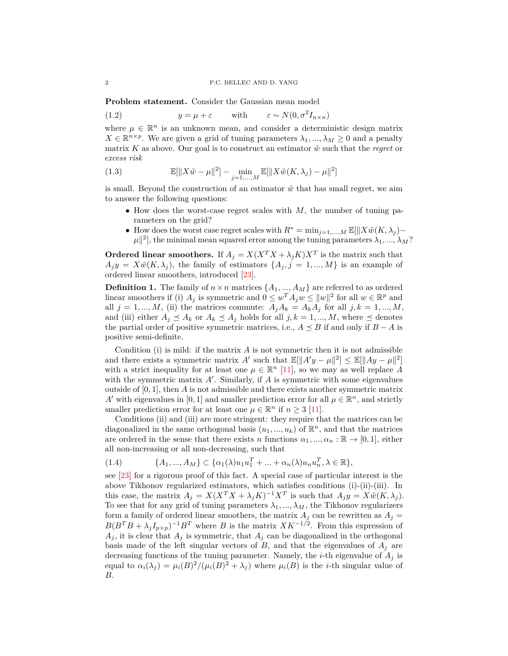**Problem statement.** Consider the Gaussian mean model

<span id="page-1-1"></span>(1.2)  $y = \mu + \varepsilon$  with  $\varepsilon \sim N(0, \sigma^2 I_{n \times n})$ 

where  $\mu \in \mathbb{R}^n$  is an unknown mean, and consider a deterministic design matrix  $X \in \mathbb{R}^{n \times p}$ . We are given a grid of tuning parameters  $\lambda_1, ..., \lambda_M \geq 0$  and a penalty matrix  $K$  as above. Our goal is to construct an estimator  $\tilde{w}$  such that the *regret* or *excess risk*

(1.3) 
$$
\mathbb{E}[\|X\tilde{w} - \mu\|^2] - \min_{j=1,...,M} \mathbb{E}[\|X\hat{w}(K,\lambda_j) - \mu\|^2]
$$

is small. Beyond the construction of an estimator  $\tilde{w}$  that has small regret, we aim to answer the following questions:

- <span id="page-1-0"></span>• How does the worst-case regret scales with  $M$ , the number of tuning parameters on the grid?
- How does the worst case regret scales with  $R^* = \min_{j=1,\dots,M} \mathbb{E}[\|X\hat{w}(K,\lambda_j) \|\mu\|^2$ , the minimal mean squared error among the tuning parameters  $\lambda_1, ..., \lambda_M$ ?

**Ordered linear smoothers.** If  $A_j = X(X^T X + \lambda_j K) X^T$  is the matrix such that  $A_i y = X \hat{w}(K, \lambda_i)$ , the family of estimators  $\{A_i, j = 1, ..., M\}$  is an example of ordered linear smoothers, introduced [\[23](#page-11-0)].

<span id="page-1-2"></span>**Definition 1.** The family of  $n \times n$  matrices  $\{A_1, ..., A_M\}$  are referred to as ordered linear smoothers if (i)  $A_j$  is symmetric and  $0 \leq w^T A_j w \leq ||w||^2$  for all  $w \in \mathbb{R}^p$  and all  $j = 1, ..., M$ , (ii) the matrices commute:  $A_j A_k = A_k A_j$  for all  $j, k = 1, ..., M$ , and (iii) either  $A_j \preceq A_k$  or  $A_k \preceq A_j$  holds for all  $j, k = 1, ..., M$ , where  $\preceq$  denotes the partial order of positive symmetric matrices, i.e.,  $A \preceq B$  if and only if  $B - A$  is positive semi-definite.

Condition  $(i)$  is mild: if the matrix  $A$  is not symmetric then it is not admissible and there exists a symmetric matrix *A'* such that  $\mathbb{E}[\|A'y - \mu\|^2] \leq \mathbb{E}[\|Ay - \mu\|^2]$ with a strict inequality for at least one  $\mu \in \mathbb{R}^n$  [\[11](#page-10-0)], so we may as well replace *A* with the symmetric matrix *A*′ . Similarly, if *A* is symmetric with some eigenvalues outside of [0*,* 1], then *A* is not admissible and there exists another symmetric matrix *A*<sup> $\prime$ </sup> with eigenvalues in [0, 1] and smaller prediction error for all  $\mu \in \mathbb{R}^n$ , and strictly smaller prediction error for at least one  $\mu \in \mathbb{R}^n$  if  $n \geq 3$  [\[11](#page-10-0)].

Conditions (ii) and (iii) are more stringent: they require that the matrices can be diagonalized in the same orthogonal basis  $(u_1, ..., u_k)$  of  $\mathbb{R}^n$ , and that the matrices are ordered in the sense that there exists *n* functions  $\alpha_1, ..., \alpha_n : \mathbb{R} \to [0, 1]$ , either all non-increasing or all non-decreasing, such that

<span id="page-1-3"></span>(1.4) 
$$
\{A_1, ..., A_M\} \subset \{\alpha_1(\lambda)u_1u_1^T + ... + \alpha_n(\lambda)u_nu_n^T, \lambda \in \mathbb{R}\},
$$

see [\[23\]](#page-11-0) for a rigorous proof of this fact. A special case of particular interest is the above Tikhonov regularized estimators, which satisfies conditions (i)-(ii)-(iii). In this case, the matrix  $A_j = X(X^T X + \lambda_j K)^{-1} X^T$  is such that  $A_j y = X \hat{w}(K, \lambda_j)$ . To see that for any grid of tuning parameters  $\lambda_1, ..., \lambda_M$ , the Tikhonov regularizers form a family of ordered linear smoothers, the matrix  $A_j$  can be rewritten as  $A_j =$  $B(B^TB + \lambda_j I_{p\times p})^{-1}B^T$  where *B* is the matrix  $XK^{-1/2}$ . From this expression of  $A_j$ , it is clear that  $A_j$  is symmetric, that  $A_j$  can be diagonalized in the orthogonal basis made of the left singular vectors of  $B$ , and that the eigenvalues of  $A_i$  are decreasing functions of the tuning parameter. Namely, the *i*-th eigenvalue of *A<sup>j</sup>* is equal to  $\alpha_i(\lambda_j) = \mu_i(B)^2/(\mu_i(B)^2 + \lambda_j)$  where  $\mu_i(B)$  is the *i*-th singular value of *B*.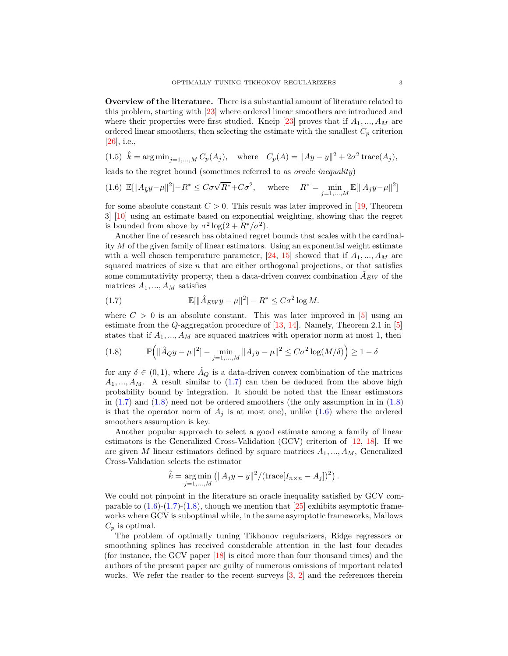**Overview of the literature.** There is a substantial amount of literature related to this problem, starting with [\[23\]](#page-11-0) where ordered linear smoothers are introduced and where their properties were first studied. Kneip  $[23]$  proves that if  $A_1, ..., A_M$  are ordered linear smoothers, then selecting the estimate with the smallest  $C_p$  criterion [\[26\]](#page-11-1), i.e.,

(1.5) 
$$
\hat{k} = \arg \min_{j=1,...,M} C_p(A_j)
$$
, where  $C_p(A) = ||Ay - y||^2 + 2\sigma^2 \operatorname{trace}(A_j)$ ,

leads to the regret bound (sometimes referred to as *oracle inequality*)

<span id="page-2-2"></span>(1.6) 
$$
\mathbb{E}[\|A_{\hat{k}}y-\mu\|^2]-R^* \leq C\sigma\sqrt{R^*}+C\sigma^2
$$
, where  $R^* = \min_{j=1,...,M} \mathbb{E}[\|A_jy-\mu\|^2]$ 

for some absolute constant  $C > 0$ . This result was later improved in [\[19,](#page-11-2) Theorem 3] [\[10\]](#page-10-1) using an estimate based on exponential weighting, showing that the regret is bounded from above by  $\sigma^2 \log(2 + R^*/\sigma^2)$ .

Another line of research has obtained regret bounds that scales with the cardinality *M* of the given family of linear estimators. Using an exponential weight estimate with a well chosen temperature parameter, [\[24,](#page-11-3) [15](#page-10-2)] showed that if  $A_1, ..., A_M$  are squared matrices of size *n* that are either orthogonal projections, or that satisfies some commutativity property, then a data-driven convex combination  $\hat{A}_{EW}$  of the matrices *A*1*, ..., A<sup>M</sup>* satisfies

<span id="page-2-0"></span>(1.7) 
$$
\mathbb{E}[\|\hat{A}_{EW}y-\mu\|^2]-R^*\leq C\sigma^2\log M.
$$

where  $C > 0$  is an absolute constant. This was later improved in [\[5](#page-10-3)] using an estimate from the *Q*-aggregation procedure of [\[13,](#page-10-4) [14](#page-10-5)]. Namely, Theorem 2.1 in [\[5\]](#page-10-3) states that if *A*1*, ..., A<sup>M</sup>* are squared matrices with operator norm at most 1, then

<span id="page-2-1"></span>(1.8) 
$$
\mathbb{P}\Big(\|\hat{A}_Q y - \mu\|^2\big] - \min_{j=1,...,M} \|A_j y - \mu\|^2 \leq C\sigma^2 \log(M/\delta) \Big) \geq 1 - \delta
$$

for any  $\delta \in (0,1)$ , where  $\hat{A}_Q$  is a data-driven convex combination of the matrices  $A_1, \ldots, A_M$ . A result similar to [\(1.7\)](#page-2-0) can then be deduced from the above high probability bound by integration. It should be noted that the linear estimators in  $(1.7)$  and  $(1.8)$  need not be ordered smoothers (the only assumption in in  $(1.8)$ ) is that the operator norm of  $A_j$  is at most one), unlike  $(1.6)$  where the ordered smoothers assumption is key.

Another popular approach to select a good estimate among a family of linear estimators is the Generalized Cross-Validation (GCV) criterion of [\[12,](#page-10-6) [18\]](#page-11-4). If we are given *M* linear estimators defined by square matrices  $A_1, ..., A_M$ , Generalized Cross-Validation selects the estimator

$$
\hat{k} = \underset{j=1,...,M}{\arg \min} (||A_j y - y||^2 / (\text{trace}[I_{n \times n} - A_j])^2).
$$

We could not pinpoint in the literature an oracle inequality satisfied by GCV comparable to  $(1.6)-(1.7)-(1.8)$  $(1.6)-(1.7)-(1.8)$  $(1.6)-(1.7)-(1.8)$  $(1.6)-(1.7)-(1.8)$  $(1.6)-(1.7)-(1.8)$ , though we mention that  $[25]$  exhibits asymptotic frameworks where GCV is suboptimal while, in the same asymptotic frameworks, Mallows *C<sup>p</sup>* is optimal.

The problem of optimally tuning Tikhonov regularizers, Ridge regressors or smoothning splines has received considerable attention in the last four decades (for instance, the GCV paper [\[18\]](#page-11-4) is cited more than four thousand times) and the authors of the present paper are guilty of numerous omissions of important related works. We refer the reader to the recent surveys  $[3, 2]$  $[3, 2]$  and the references therein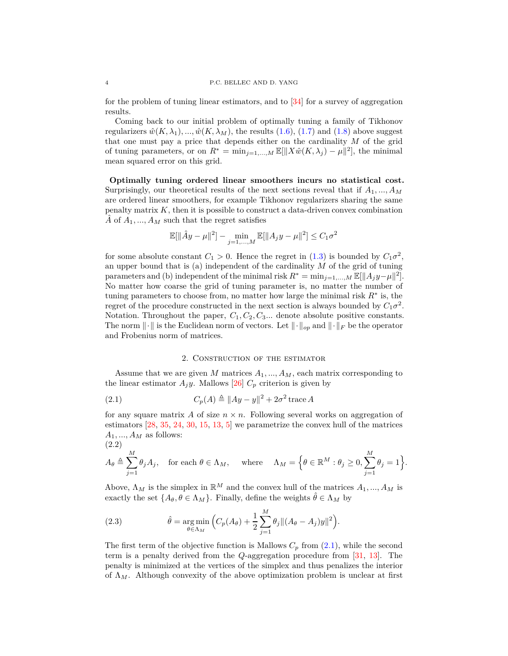for the problem of tuning linear estimators, and to  $\left[34\right]$  for a survey of aggregation results.

Coming back to our initial problem of optimally tuning a family of Tikhonov regularizers  $\hat{w}(K, \lambda_1), ..., \hat{w}(K, \lambda_M)$ , the results [\(1.6\)](#page-2-2), [\(1.7\)](#page-2-0) and [\(1.8\)](#page-2-1) above suggest that one must pay a price that depends either on the cardinality *M* of the grid of tuning parameters, or on  $R^* = \min_{j=1,\dots,M} \mathbb{E}[\|X\hat{w}(K,\lambda_j) - \mu\|^2],$  the minimal mean squared error on this grid.

**Optimally tuning ordered linear smoothers incurs no statistical cost.** Surprisingly, our theoretical results of the next sections reveal that if *A*1*, ..., A<sup>M</sup>* are ordered linear smoothers, for example Tikhonov regularizers sharing the same penalty matrix  $K$ , then it is possible to construct a data-driven convex combination  $\overline{A}$  of  $A_1, ..., A_M$  such that the regret satisfies

$$
\mathbb{E}[\|\hat{A}y - \mu\|^2] - \min_{j=1,\dots,M} \mathbb{E}[\|A_j y - \mu\|^2] \le C_1 \sigma^2
$$

for some absolute constant  $C_1 > 0$ . Hence the regret in  $(1.3)$  is bounded by  $C_1 \sigma^2$ , an upper bound that is (a) independent of the cardinality *M* of the grid of tuning parameters and (b) independent of the minimal risk  $R^* = \min_{j=1,\dots,M} \mathbb{E}[\|A_j y - \mu\|^2].$ No matter how coarse the grid of tuning parameter is, no matter the number of tuning parameters to choose from, no matter how large the minimal risk  $R^*$  is, the regret of the procedure constructed in the next section is always bounded by  $C_1 \sigma^2$ . Notation. Throughout the paper,  $C_1, C_2, C_3$ ... denote absolute positive constants. The norm  $\|\cdot\|$  is the Euclidean norm of vectors. Let  $\|\cdot\|_{op}$  and  $\|\cdot\|_F$  be the operator and Frobenius norm of matrices.

### <span id="page-3-0"></span>2. Construction of the estimator

<span id="page-3-2"></span>Assume that we are given  $M$  matrices  $A_1, \ldots, A_M$ , each matrix corresponding to the linear estimator  $A_j y$ . Mallows [\[26\]](#page-11-1)  $C_p$  criterion is given by

(2.1) 
$$
C_p(A) \triangleq ||Ay - y||^2 + 2\sigma^2 \operatorname{trace} A
$$

for any square matrix A of size  $n \times n$ . Following several works on aggregation of estimators [\[28,](#page-11-6) [35](#page-12-1), [24](#page-11-3), [30,](#page-11-7) [15,](#page-10-2) [13,](#page-10-4) [5](#page-10-3)] we parametrize the convex hull of the matrices  $A_1, \ldots, A_M$  as follows:

$$
(2.2)
$$

$$
A_{\theta} \triangleq \sum_{j=1}^{M} \theta_{j} A_{j}, \text{ for each } \theta \in \Lambda_{M}, \text{ where } \Lambda_{M} = \Big\{\theta \in \mathbb{R}^{M} : \theta_{j} \geq 0, \sum_{j=1}^{M} \theta_{j} = 1\Big\}.
$$

Above,  $\Lambda_M$  is the simplex in  $\mathbb{R}^M$  and the convex hull of the matrices  $A_1, ..., A_M$  is exactly the set  $\{A_{\theta}, \theta \in \Lambda_M\}$ . Finally, define the weights  $\hat{\theta} \in \Lambda_M$  by

<span id="page-3-1"></span>(2.3) 
$$
\hat{\theta} = \underset{\theta \in \Lambda_M}{\arg \min} \left( C_p(A_\theta) + \frac{1}{2} \sum_{j=1}^M \theta_j \| (A_\theta - A_j) y \|^2 \right).
$$

The first term of the objective function is Mallows  $C_p$  from  $(2.1)$ , while the second term is a penalty derived from the *Q*-aggregation procedure from [\[31](#page-11-8), [13](#page-10-4)]. The penalty is minimized at the vertices of the simplex and thus penalizes the interior of  $\Lambda_M$ . Although convexity of the above optimization problem is unclear at first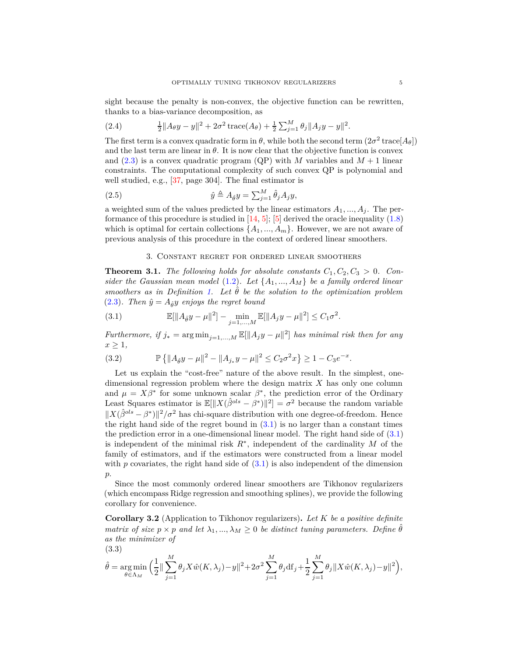sight because the penalty is non-convex, the objective function can be rewritten, thanks to a bias-variance decomposition, as

<span id="page-4-3"></span>(2.4) 
$$
\frac{1}{2}||A_{\theta}y - y||^{2} + 2\sigma^{2} \operatorname{trace}(A_{\theta}) + \frac{1}{2} \sum_{j=1}^{M} \theta_{j}||A_{j}y - y||^{2}.
$$

The first term is a convex quadratic form in  $\theta$ , while both the second term  $(2\sigma^2 \text{ trace}[A_{\theta}])$ and the last term are linear in  $\theta$ . It is now clear that the objective function is convex and  $(2.3)$  is a convex quadratic program  $(QP)$  with *M* variables and  $M+1$  linear constraints. The computational complexity of such convex QP is polynomial and well studied, e.g., [\[37,](#page-12-2) page 304]. The final estimator is

(2.5) 
$$
\hat{y} \triangleq A_{\hat{\theta}} y = \sum_{j=1}^{M} \hat{\theta}_j A_j y,
$$

a weighted sum of the values predicted by the linear estimators  $A_1, ..., A_j$ . The performance of this procedure is studied in  $[14, 5]$  $[14, 5]$ ;  $[5]$  derived the oracle inequality [\(1.8\)](#page-2-1) which is optimal for certain collections  $\{A_1, ..., A_m\}$ . However, we are not aware of previous analysis of this procedure in the context of ordered linear smoothers.

## <span id="page-4-0"></span>3. Constant regret for ordered linear smoothers

<span id="page-4-1"></span>**Theorem 3.1.** *The following holds for absolute constants*  $C_1, C_2, C_3 > 0$ . *Consider the Gaussian mean model* [\(1.2\)](#page-1-1). Let  $\{A_1, ..., A_M\}$  be a family ordered linear *smoothers as in Definition [1.](#page-1-2)* Let  $\hat{\theta}$  be the solution to the optimization problem [\(2.3\)](#page-3-1). Then  $\hat{y} = A_{\hat{\theta}}y$  enjoys the regret bound

(3.1) 
$$
\mathbb{E}[\|A_{\hat{\theta}}y - \mu\|^2] - \min_{j=1,...,M} \mathbb{E}[\|A_jy - \mu\|^2] \leq C_1 \sigma^2.
$$

 $Furthermore, if j_* = \arg \min_{j=1,...,M} \mathbb{E}[\|A_jy - \mu\|^2]$  *has minimal risk then for any*  $x \geq 1$ ,

<span id="page-4-4"></span>(3.2) 
$$
\mathbb{P}\left\{\|A_{\hat{\theta}}y-\mu\|^2-\|A_{j_*}y-\mu\|^2\leq C_2\sigma^2x\right\}\geq 1-C_3e^{-x}.
$$

Let us explain the "cost-free" nature of the above result. In the simplest, onedimensional regression problem where the design matrix *X* has only one column and  $\mu = X\beta^*$  for some unknown scalar  $\beta^*$ , the prediction error of the Ordinary Least Squares estimator is  $\mathbb{E}[\|X(\hat{\beta}^{ols} - \beta^*)\|^2] = \sigma^2$  because the random variable  $||X(\hat{\beta}^{ols} - \beta^*)||^2/\sigma^2$  has chi-square distribution with one degree-of-freedom. Hence the right hand side of the regret bound in  $(3.1)$  is no larger than a constant times the prediction error in a one-dimensional linear model. The right hand side of [\(3.1\)](#page-4-0) is independent of the minimal risk *R*<sup>∗</sup> , independent of the cardinality *M* of the family of estimators, and if the estimators were constructed from a linear model with  $p$  covariates, the right hand side of  $(3.1)$  is also independent of the dimension *p*.

Since the most commonly ordered linear smoothers are Tikhonov regularizers (which encompass Ridge regression and smoothing splines), we provide the following corollary for convenience.

**Corollary 3.2** (Application to Tikhonov regularizers)**.** *Let K be a positive definite matrix of size*  $p \times p$  *and let*  $\lambda_1, ..., \lambda_M \geq 0$  *be distinct tuning parameters. Define*  $\hat{\theta}$ *as the minimizer of* (3.3)

<span id="page-4-2"></span>
$$
\hat{\theta} = \underset{\theta \in \Lambda_M}{\arg \min} \left( \frac{1}{2} \|\sum_{j=1}^M \theta_j X \hat{w}(K, \lambda_j) - y\|^2 + 2\sigma^2 \sum_{j=1}^M \theta_j df_j + \frac{1}{2} \sum_{j=1}^M \theta_j \|X \hat{w}(K, \lambda_j) - y\|^2 \right),
$$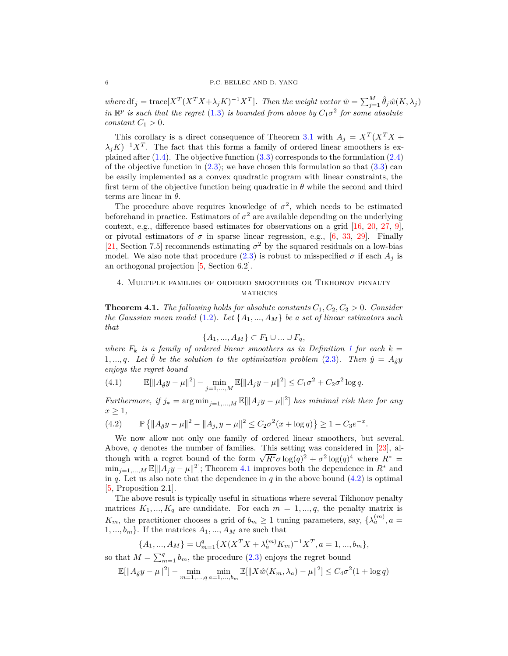where  $\mathrm{d} f_j = \mathrm{trace}[X^T (X^T X + \lambda_j K)^{-1} X^T]$ . Then the weight vector  $\tilde{w} = \sum_{j=1}^M \hat{\theta}_j \hat{w}(K, \lambda_j)$ *in*  $\mathbb{R}^p$  *is such that the regret* [\(1.3\)](#page-1-0) *is bounded from above by*  $C_1 \sigma^2$  *for some absolute*  $constant C_1 > 0.$ 

This corollary is a direct consequence of Theorem [3.1](#page-4-1) with  $A_j = X^T (X^T X +$  $\lambda_j K$ )<sup>-1</sup>*X*<sup>*T*</sup>. The fact that this forms a family of ordered linear smoothers is explained after  $(1.4)$ . The objective function  $(3.3)$  corresponds to the formulation  $(2.4)$ of the objective function in  $(2.3)$ ; we have chosen this formulation so that  $(3.3)$  can be easily implemented as a convex quadratic program with linear constraints, the first term of the objective function being quadratic in  $\theta$  while the second and third terms are linear in *θ*.

The procedure above requires knowledge of  $\sigma^2$ , which needs to be estimated beforehand in practice. Estimators of  $\sigma^2$  are available depending on the underlying context, e.g., difference based estimates for observations on a grid [\[16](#page-11-9), [20,](#page-11-10) [27,](#page-11-11) [9](#page-10-9)], or pivotal estimators of  $\sigma$  in sparse linear regression, e.g., [\[6](#page-10-10), [33,](#page-11-12) [29](#page-11-13)]. Finally [\[21,](#page-11-14) Section 7.5] recommends estimating  $\sigma^2$  by the squared residuals on a low-bias model. We also note that procedure [\(2.3\)](#page-3-1) is robust to misspecified  $\sigma$  if each  $A_i$  is an orthogonal projection [\[5](#page-10-3), Section 6.2].

# 4. Multiple families of ordered smoothers or Tikhonov penalty **MATRICES**

<span id="page-5-0"></span>**Theorem 4.1.** *The following holds for absolute constants*  $C_1, C_2, C_3 > 0$ *. Consider the Gaussian mean model* [\(1.2\)](#page-1-1). Let  $\{A_1, ..., A_M\}$  *be a set of linear estimators such that*

$$
\{A_1, ..., A_M\} \subset F_1 \cup ... \cup F_q,
$$

*where*  $F_k$  *is a family of ordered linear smoothers as in Definition [1](#page-1-2) for each*  $k =$ 1,..., q. Let  $\hat{\theta}$  be the solution to the optimization problem [\(2.3\)](#page-3-1). Then  $\hat{y} = A_{\hat{\theta}}y$ *enjoys the regret bound*

<span id="page-5-2"></span>(4.1) 
$$
\mathbb{E}[\|A_{\hat{\theta}}y - \mu\|^2] - \min_{j=1,\dots,M} \mathbb{E}[\|A_jy - \mu\|^2] \le C_1 \sigma^2 + C_2 \sigma^2 \log q.
$$

 $Furthermore, if j_* = \arg \min_{j=1,...,M} \mathbb{E}[\|A_jy - \mu\|^2]$  *has minimal risk then for any*  $x \geq 1$ ,

<span id="page-5-1"></span>(4.2) 
$$
\mathbb{P}\left\{\|A_{\hat{\theta}}y-\mu\|^2-\|A_{j_*}y-\mu\|^2\leq C_2\sigma^2(x+\log q)\right\}\geq 1-C_3e^{-x}.
$$

We now allow not only one family of ordered linear smoothers, but several. Above, *q* denotes the number of families. This setting was considered in [\[23](#page-11-0)], although with a regret bound of the form  $\sqrt{R^* \sigma} \log(q)^2 + \sigma^2 \log(q)^4$  where  $R^* =$  $\min_{j=1,\dots,M} \mathbb{E}[\Vert A_j y - \mu \Vert^2];$  Theorem [4.1](#page-5-0) improves both the dependence in  $R^*$  and in  $q$ . Let us also note that the dependence in  $q$  in the above bound  $(4.2)$  is optimal [\[5,](#page-10-3) Proposition 2.1].

The above result is typically useful in situations where several Tikhonov penalty matrices  $K_1, ..., K_q$  are candidate. For each  $m = 1, ..., q$ , the penalty matrix is *K<sub>m</sub>*, the practitioner chooses a grid of  $b_m \ge 1$  tuning parameters, say,  $\{\lambda_a^{(m)}, a =$  $1, \ldots, b_m$ . If the matrices  $A_1, \ldots, A_M$  are such that

$$
\{A_1, ..., A_M\} = \bigcup_{m=1}^q \{X(X^T X + \lambda_a^{(m)} K_m)^{-1} X^T, a = 1, ..., b_m\},\
$$

so that  $M = \sum_{m=1}^{q} b_m$ , the procedure [\(2.3\)](#page-3-1) enjoys the regret bound

$$
\mathbb{E}[\|A_{\hat{\theta}}y - \mu\|^2] - \min_{m=1,\dots,q} \min_{a=1,\dots,b_m} \mathbb{E}[\|X\hat{w}(K_m,\lambda_a) - \mu\|^2] \le C_4\sigma^2(1 + \log q)
$$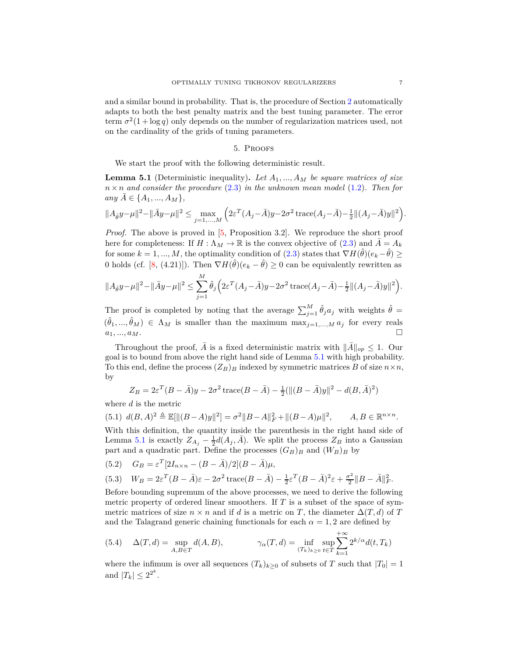and a similar bound in probability. That is, the procedure of Section [2](#page-3-2) automatically adapts to both the best penalty matrix and the best tuning parameter. The error term  $\sigma^2(1 + \log q)$  only depends on the number of regularization matrices used, not on the cardinality of the grids of tuning parameters.

#### 5. Proofs

<span id="page-6-0"></span>We start the proof with the following deterministic result.

**Lemma 5.1** (Deterministic inequality). Let  $A_1, \ldots, A_M$  be square matrices of size  $n \times n$  *and consider the procedure* [\(2.3\)](#page-3-1) *in the unknown mean model* [\(1.2\)](#page-1-1)*. Then for*  $any \ A \in \{A_1, ..., A_M\},\$ 

$$
||A_{\hat{\theta}}y-\mu||^2 - ||\bar{A}y-\mu||^2 \le \max_{j=1,\dots,M} \left(2\varepsilon^T (A_j - \bar{A})y - 2\sigma^2 \operatorname{trace}(A_j - \bar{A}) - \frac{1}{2} ||(A_j - \bar{A})y||^2\right).
$$

*Proof.* The above is proved in [\[5](#page-10-3), Proposition 3.2]. We reproduce the short proof here for completeness: If  $H : \Lambda_M \to \mathbb{R}$  is the convex objective of [\(2.3\)](#page-3-1) and  $A = A_k$ for some  $k = 1, ..., M$ , the optimality condition of  $(2.3)$  states that  $\nabla H(\hat{\theta})(e_k - \hat{\theta}) \ge$ 0 holds (cf. [\[8](#page-10-11), (4.21)]). Then  $\nabla H(\hat{\theta})(e_k - \hat{\theta}) \ge 0$  can be equivalently rewritten as

$$
||A_{\hat{\theta}}y-\mu||^2 - ||\bar{A}y-\mu||^2 \le \sum_{j=1}^M \hat{\theta}_j \left(2\varepsilon^T (A_j - \bar{A})y - 2\sigma^2 \operatorname{trace}(A_j - \bar{A}) - \frac{1}{2} ||(A_j - \bar{A})y||^2\right).
$$

The proof is completed by noting that the average  $\sum_{j=1}^{M} \hat{\theta}_j a_j$  with weights  $\hat{\theta}$  =  $(\hat{\theta}_1, ..., \hat{\theta}_M) \in \Lambda_M$  is smaller than the maximum  $\max_{j=1,...,M} a_j$  for every reals  $a_1, ..., a_M$ .

Throughout the proof,  $\bar{A}$  is a fixed deterministic matrix with  $\|\bar{A}\|_{op} \leq 1$ . Our goal is to bound from above the right hand side of Lemma [5.1](#page-6-0) with high probability. To this end, define the process  $(Z_B)_B$  indexed by symmetric matrices *B* of size  $n \times n$ , by

$$
Z_B = 2\varepsilon^T (B - \bar{A})y - 2\sigma^2 \operatorname{trace}(B - \bar{A}) - \frac{1}{2}(\|(B - \bar{A})y\|^2 - d(B, \bar{A})^2)
$$

where *d* is the metric

<span id="page-6-1"></span>
$$
(5.1) \ d(B,A)^2 \triangleq \mathbb{E}[\|(B-A)y\|^2] = \sigma^2 \|B-A\|_F^2 + \|(B-A)\mu\|^2, \qquad A,B \in \mathbb{R}^{n \times n}.
$$

With this definition, the quantity inside the parenthesis in the right hand side of Lemma [5.1](#page-6-0) is exactly  $Z_{A_j} - \frac{1}{2}d(A_j, \bar{A})$ . We split the process  $Z_B$  into a Gaussian part and a quadratic part. Define the processes  $(G_B)_B$  and  $(W_B)_B$  by

(5.2) 
$$
G_B = \varepsilon^T [2I_{n \times n} - (B - \bar{A})/2](B - \bar{A})\mu,
$$

(5.3) 
$$
W_B = 2\varepsilon^T (B - \bar{A})\varepsilon - 2\sigma^2 \operatorname{trace}(B - \bar{A}) - \frac{1}{2}\varepsilon^T (B - \bar{A})^2 \varepsilon + \frac{\sigma^2}{2} \|B - \bar{A}\|_F^2.
$$

Before bounding supremum of the above processes, we need to derive the following metric property of ordered linear smoothers. If *T* is a subset of the space of symmetric matrices of size  $n \times n$  and if *d* is a metric on *T*, the diameter  $\Delta(T, d)$  of *T* and the Talagrand generic chaining functionals for each  $\alpha = 1, 2$  are defined by

(5.4) 
$$
\Delta(T, d) = \sup_{A, B \in T} d(A, B), \qquad \gamma_{\alpha}(T, d) = \inf_{(T_k)_{k \geq 0}} \sup_{t \in T} \sum_{k=1}^{+\infty} 2^{k/\alpha} d(t, T_k)
$$

<span id="page-6-2"></span>where the infimum is over all sequences  $(T_k)_{k\geq 0}$  of subsets of *T* such that  $|T_0| = 1$ and  $|T_k| \leq 2^{2^k}$ .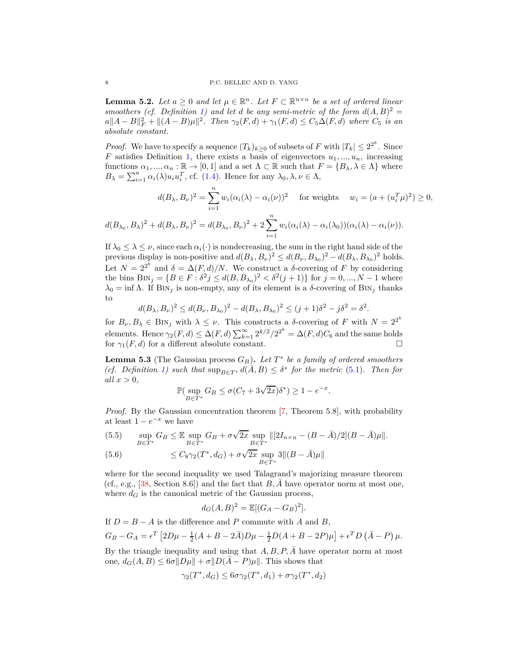**Lemma 5.2.** Let  $a \geq 0$  and let  $\mu \in \mathbb{R}^n$ . Let  $F \subset \mathbb{R}^{n \times n}$  be a set of ordered linear *smoothers (cf. Definition [1\)](#page-1-2)* and let *d* be any semi-metric of the form  $d(A, B)^2 =$  $a\|A - B\|_F^2 + \|(A - B)\mu\|^2$ . Then  $\gamma_2(F, d) + \gamma_1(F, d) \leq C_5\Delta(F, d)$  where  $C_5$  *is an absolute constant.*

*Proof.* We have to specify a sequence  $(T_k)_{k\geq 0}$  of subsets of *F* with  $|T_k| \leq 2^{2^k}$ . Since *F* satisfies Definition [1,](#page-1-2) there exists a basis of eigenvectors  $u_1, ..., u_n$ , increasing functions  $\alpha_1, ..., \alpha_n : \mathbb{R} \to [0, 1]$  and a set  $\Lambda \subset \mathbb{R}$  such that  $F = \{B_\lambda, \lambda \in \Lambda\}$  where  $B_{\lambda} = \sum_{i=1}^{n} \alpha_i(\lambda) u_i u_i^T$ , cf. [\(1.4\)](#page-1-3). Hence for any  $\lambda_0, \lambda, \nu \in \Lambda$ ,

$$
d(B_{\lambda}, B_{\nu})^2 = \sum_{i=1}^n w_i (\alpha_i(\lambda) - \alpha_i(\nu))^2 \quad \text{for weights} \quad w_i = (a + (u_i^T \mu)^2) \ge 0,
$$
  

$$
d(B_{\lambda_0}, B_{\lambda})^2 + d(B_{\lambda}, B_{\nu})^2 = d(B_{\lambda_0}, B_{\nu})^2 + 2 \sum_{i=1}^n w_i (\alpha_i(\lambda) - \alpha_i(\lambda_0)) (\alpha_i(\lambda) - \alpha_i(\nu)).
$$

If  $\lambda_0 \leq \lambda \leq \nu$ , since each  $\alpha_i(\cdot)$  is nondecreasing, the sum in the right hand side of the previous display is non-positive and  $d(B_{\lambda}, B_{\nu})^2 \leq d(B_{\nu}, B_{\lambda_0})^2 - d(B_{\lambda}, B_{\lambda_0})^2$  holds. Let  $N = 2^{2^k}$  and  $\delta = \Delta(F, d)/N$ . We construct a  $\delta$ -covering of F by considering the bins  $\text{BIN}_j = \{B \in F : \delta^2 j \le d(B, B_{\lambda_0})^2 < \delta^2(j+1)\}$  for  $j = 0, ..., N-1$  where  $λ$ <sup>0</sup> = inf Λ. If Bi<sub>j</sub> is non-empty, any of its element is a *δ*-covering of Bi<sub>j</sub> thanks to

$$
d(B_{\lambda}, B_{\nu})^2 \le d(B_{\nu}, B_{\lambda_0})^2 - d(B_{\lambda}, B_{\lambda_0})^2 \le (j+1)\delta^2 - j\delta^2 = \delta^2.
$$

for  $B_{\nu}, B_{\lambda} \in \text{BIN}_j$  with  $\lambda \leq \nu$ . This constructs a *δ*-covering of *F* with  $N = 2^{2^k}$ elements. Hence  $\gamma_2(F, d) \leq \Delta(F, d) \sum_{k=1}^{\infty} 2^{k/2} / 2^{2^k} = \Delta(F, d) C_6$  and the same holds for  $\gamma_1(F, d)$  for a different absolute constant.

<span id="page-7-0"></span>**Lemma 5.3** (The Gaussian process *GB*)**.** *Let T* ∗ *be a family of ordered smoothers (cf. Definition [1\)](#page-1-2)* such that  $\sup_{B \in T^*} d(\overline{A}, B) \leq \delta^*$  for the metric [\(5.1\)](#page-6-1). Then for  $all x > 0,$ 

$$
\mathbb{P}(\sup_{B \in T^*} G_B \le \sigma(C_7 + 3\sqrt{2x})\delta^*) \ge 1 - e^{-x}.
$$

*Proof.* By the Gaussian concentration theorem [\[7](#page-10-12), Theorem 5.8], with probability at least  $1 - e^{-x}$  we have

(5.5) 
$$
\sup_{B \in T^*} G_B \leq \mathbb{E} \sup_{B \in T^*} G_B + \sigma \sqrt{2x} \sup_{B \in T^*} ||[2I_{n \times n} - (B - \bar{A})/2](B - \bar{A})\mu||.
$$

(5.6) 
$$
\leq C_8 \gamma_2(T^*, d_G) + \sigma \sqrt{2x} \sup_{B \in T^*} 3 ||(B - \bar{A})\mu||
$$

where for the second inequality we used Talagrand's majorizing measure theorem (cf., e.g.,  $[38, \text{Section } 8.6]$ ) and the fact that  $B, A$  have operator norm at most one, where  $d_G$  is the canonical metric of the Gaussian process,

$$
d_G(A, B)^2 = \mathbb{E}[(G_A - G_B)^2].
$$

If  $D = B - A$  is the difference and *P* commute with *A* and *B*,

$$
G_B - G_A = \epsilon^T \left[ 2D\mu - \frac{1}{2}(A + B - 2\bar{A})D\mu - \frac{1}{2}D(A + B - 2P)\mu \right] + \epsilon^T D(\bar{A} - P)\mu.
$$

By the triangle inequality and using that  $A, B, P, \overline{A}$  have operator norm at most one,  $d_G(A, B) \leq 6\sigma \|D\mu\| + \sigma \|D(\bar{A} - P)\mu\|$ . This shows that

$$
\gamma_2(T^*, d_G) \le 6\sigma \gamma_2(T^*, d_1) + \sigma \gamma_2(T^*, d_2)
$$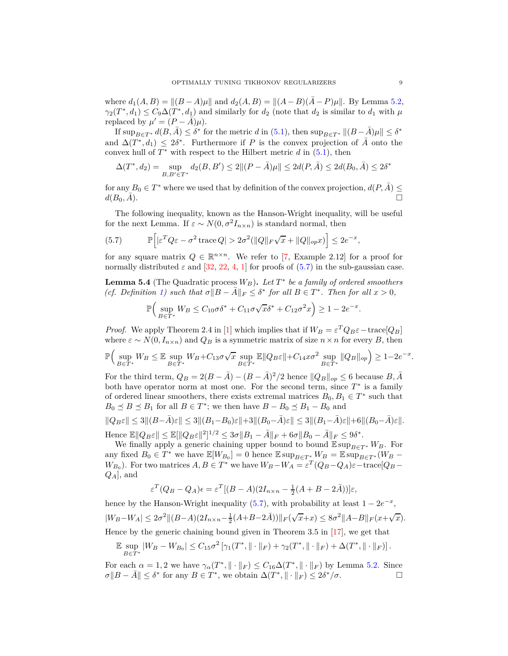where  $d_1(A, B) = ||(B - A)\mu||$  and  $d_2(A, B) = ||(A - B)(A - P)\mu||$ . By Lemma [5.2,](#page-6-2)  $\gamma_2(T^*, d_1) \leq C_9 \Delta(T^*, d_1)$  and similarly for  $d_2$  (note that  $d_2$  is similar to  $d_1$  with  $\mu$ replaced by  $\mu' = (P - \overline{A})\mu$ .

 $\text{If } \sup_{B \in T^*} d(B, \bar{A}) \leq \delta^* \text{ for the metric } d \text{ in (5.1), then } \sup_{B \in T^*} ||(B - \bar{A})\mu|| \leq \delta^*$  $\text{If } \sup_{B \in T^*} d(B, \bar{A}) \leq \delta^* \text{ for the metric } d \text{ in (5.1), then } \sup_{B \in T^*} ||(B - \bar{A})\mu|| \leq \delta^*$  $\text{If } \sup_{B \in T^*} d(B, \bar{A}) \leq \delta^* \text{ for the metric } d \text{ in (5.1), then } \sup_{B \in T^*} ||(B - \bar{A})\mu|| \leq \delta^*$ and  $\Delta(T^*, d_1) \leq 2\delta^*$ . Furthermore if *P* is the convex projection of  $\overline{A}$  onto the convex hull of  $T^*$  with respect to the Hilbert metric  $d$  in  $(5.1)$ , then

$$
\Delta(T^*, d_2) = \sup_{B, B' \in T^*} d_2(B, B') \le 2 \|(P - \bar{A})\mu\| \le 2d(P, \bar{A}) \le 2d(B_0, \bar{A}) \le 2\delta^*
$$

for any  $B_0 \in T^*$  where we used that by definition of the convex projection,  $d(P, \overline{A}) \le$  $d(B_0, \bar{A})$ .

The following inequality, known as the Hanson-Wright inequality, will be useful for the next Lemma. If  $\varepsilon \sim N(0, \sigma^2 I_{n \times n})$  is standard normal, then

<span id="page-8-0"></span>(5.7) 
$$
\mathbb{P}\Big[|\varepsilon^T Q \varepsilon - \sigma^2 \operatorname{trace} Q| > 2\sigma^2 (\|Q\|_F \sqrt{x} + \|Q\|_{op} x)\Big] \leq 2e^{-x},
$$

<span id="page-8-1"></span>for any square matrix  $Q \in \mathbb{R}^{n \times n}$ . We refer to [\[7](#page-10-12), Example 2.12] for a proof for normally distributed  $\varepsilon$  and [\[32](#page-11-15), [22,](#page-11-16) [4,](#page-10-13) [1](#page-10-14)] for proofs of [\(5.7\)](#page-8-0) in the sub-gaussian case.

**Lemma 5.4** (The Quadratic process *WB*)**.** *Let T* ∗ *be a family of ordered smoothers (cf. Definition [1\)](#page-1-2)* such that  $\sigma \|B - \bar{A}\|_F \leq \delta^*$  for all  $B \in T^*$ *. Then for all*  $x > 0$ *,* 

$$
\mathbb{P}\Big(\sup_{B\in T^*} W_B \leq C_{10}\sigma\delta^* + C_{11}\sigma\sqrt{x}\delta^* + C_{12}\sigma^2x\Big) \geq 1 - 2e^{-x}.
$$

*Proof.* We apply Theorem 2.4 in [\[1](#page-10-14)] which implies that if  $W_B = \varepsilon^T Q_B \varepsilon - \text{trace}[Q_B]$ where  $\varepsilon \sim N(0, I_{n \times n})$  and  $Q_B$  is a symmetric matrix of size  $n \times n$  for every *B*, then

$$
\mathbb{P}\Big(\sup_{B\in T^*} W_B \leq \mathbb{E}\sup_{B\in T^*} W_B + C_{13}\sigma\sqrt{x} \sup_{B\in T^*} \mathbb{E} \|Q_B \varepsilon\| + C_{14}x\sigma^2 \sup_{B\in T^*} \|Q_B\|_{op}\Big) \geq 1 - 2e^{-x}
$$

For the third term,  $Q_B = 2(B - \bar{A}) - (B - \bar{A})^2/2$  hence  $||Q_B||_{op} \leq 6$  because  $B, \bar{A}$ both have operator norm at most one. For the second term, since  $T^*$  is a family of ordered linear smoothers, there exists extremal matrices  $B_0, B_1 \in T^*$  such that  $B_0 \preceq B \preceq B_1$  for all  $B \in T^*$ ; we then have  $B - B_0 \preceq B_1 - B_0$  and

$$
||Q_B \varepsilon|| \le 3 ||(B - \bar{A})\varepsilon|| \le 3 ||(B_1 - B_0)\varepsilon|| + 3 ||(B_0 - \bar{A})\varepsilon|| \le 3 ||(B_1 - \bar{A})\varepsilon|| + 6 ||(B_0 - \bar{A})\varepsilon||.
$$
  
Hence  $||Q_D \varepsilon|| \le ||\nabla ||Q_D \varepsilon||^{2} ||2 \le 3\pi ||B_L - \bar{A}||_{D} + 6\pi ||B_L - \bar{A}||_{D} \le 0\delta^*$ .

 $\text{Hence } \mathbb{E} \|Q_B \varepsilon\| \leq \mathbb{E}[\|Q_B \varepsilon\|^2]^{1/2} \leq 3\sigma \|B_1 - \bar{A}\|_F + 6\sigma \|B_0 - \bar{A}\|_F \leq 9\delta^*.$ We finally apply a generic chaining upper bound to bound  $\mathbb{E} \sup_{B \in T^*} W_B$ . For

any fixed  $B_0 \in T^*$  we have  $\mathbb{E}[W_{B_0}] = 0$  hence  $\mathbb{E} \sup_{B \in T^*} W_B = \mathbb{E} \sup_{B \in T^*} (W_B -$ *W*<sub>B<sub>0</sub></sub>). For two matrices  $A, B \in T^*$  we have  $W_B - W_A = \varepsilon^T (Q_B - Q_A) \varepsilon - \text{trace}[Q_B - Q_B]$ *QA*], and

$$
\varepsilon^{T}(Q_{B}-Q_{A})\epsilon = \varepsilon^{T}[(B-A)(2I_{n\times n}-\frac{1}{2}(A+B-2\overline{A}))]\varepsilon,
$$

hence by the Hanson-Wright inequality [\(5.7\)](#page-8-0), with probability at least  $1 - 2e^{-x}$ ,  $|W_B - W_A| \leq 2\sigma^2 ||(B-A)(2I_{n \times n} - \frac{1}{2}(A+B-2\overline{A}))||_F(\sqrt{x}+x) \leq 8\sigma^2 ||A-B||_F(x+\sqrt{x}).$ Hence by the generic chaining bound given in Theorem 3.5 in [\[17\]](#page-11-17), we get that

$$
\mathbb{E} \sup_{B \in T^*} |W_B - W_{B_0}| \leq C_{15} \sigma^2 \left[ \gamma_1(T^*, \| \cdot \|_F) + \gamma_2(T^*, \| \cdot \|_F) + \Delta(T^*, \| \cdot \|_F) \right].
$$

<span id="page-8-2"></span>For each  $\alpha = 1, 2$  we have  $\gamma_{\alpha}(T^*, \| \cdot \|_F) \leq C_{16} \Delta(T^*, \| \cdot \|_F)$  by Lemma [5.2.](#page-6-2) Since  $\sigma \|B - \bar{A}\| \leq \delta^*$  for any  $B \in T^*$ , we obtain  $\Delta(T^*, \| \cdot \|_F) \leq 2\delta^* / \sigma$ . *.*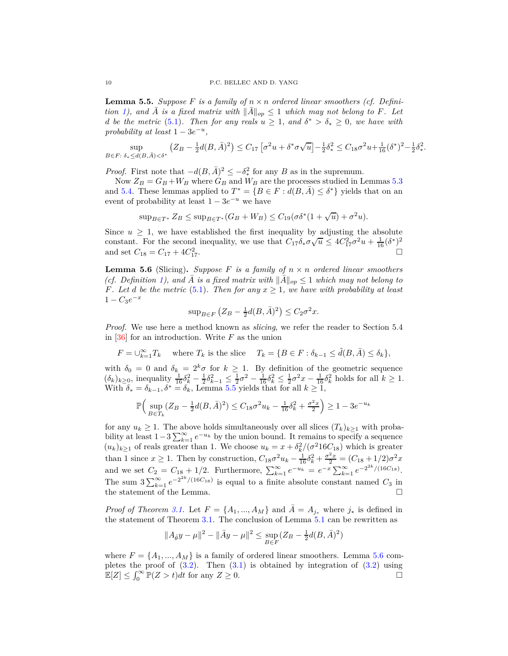**Lemma 5.5.** *Suppose*  $F$  *is a family of*  $n \times n$  *ordered linear smoothers (cf. Definition* [1\)](#page-1-2), and  $\overline{A}$  *is a fixed matrix with*  $\|\overline{A}\|_{op} \leq 1$  *which may not belong to F. Let d be the metric* [\(5.1\)](#page-6-1)*. Then for any reals*  $u \geq 1$ *, and*  $\delta^* > \delta_* \geq 0$ *, we have with probability at least*  $1 - 3e^{-u}$ *,*

sup  $B \in F$ :  $\delta_* \leq d(B,\bar{A}) < \delta^*$  $\left(Z_B-\frac{1}{2}d(B,\bar{A})^2\right)\leq C_{17}\left[\sigma^2u+\delta^*\sigma\sqrt{u}\right]-\frac{1}{2}\delta_*^2\leq C_{18}\sigma^2u+\frac{1}{16}(\delta^*)^2-\frac{1}{2}\delta_*^2.$ 

*Proof.* First note that  $-d(B, \overline{A})^2 \le -\delta_*^2$  for any *B* as in the supremum.

Now  $Z_B = G_B + W_B$  where  $G_B$  and  $W_B$  are the processes studied in Lemmas [5.3](#page-7-0) and [5.4.](#page-8-1) These lemmas applied to  $T^* = \{B \in F : d(B, \bar{A}) \leq \delta^*\}$  yields that on an event of probability at least  $1 - 3e^{-u}$  we have

$$
\sup_{B \in T^*} Z_B \le \sup_{B \in T^*} (G_B + W_B) \le C_{19} (\sigma \delta^*(1 + \sqrt{u}) + \sigma^2 u).
$$

Since  $u \geq 1$ , we have established the first inequality by adjusting the absolute constant. For the second inequality, we use that  $C_{17}\delta_*\sigma\sqrt{u} \leq 4C_{17}^2\sigma^2u + \frac{1}{16}(\delta^*)^2$ and set  $C_{18} = C_{17} + 4C_{1}^2$  $\frac{2}{17}$ .

<span id="page-9-0"></span>**Lemma 5.6** (Slicing). *Suppose*  $F$  *is a family of*  $n \times n$  *ordered linear smoothers (cf. Definition [1\)](#page-1-2), and A is a fixed matrix with*  $||A||_{op} \leq 1$  *which may not belong to F. Let d be the metric* [\(5.1\)](#page-6-1)*. Then for any*  $x \geq 1$ *, we have with probability at least*  $1 - C_3 e^{-x}$ 

$$
\sup_{B \in F} (Z_B - \frac{1}{2}d(B, \bar{A})^2) \le C_2 \sigma^2 x.
$$

*Proof.* We use here a method known as *slicing*, we refer the reader to Section 5.4 in  $[36]$  for an introduction. Write  $F$  as the union

 $F = \bigcup_{k=1}^{\infty} T_k$  where  $T_k$  is the slice  $T_k = \{ B \in F : \delta_{k-1} \le \tilde{d}(B, \bar{A}) \le \delta_k \},$ 

with  $\delta_0 = 0$  and  $\delta_k = 2^k \sigma$  for  $k \ge 1$ . By definition of the geometric sequence  $(\delta_k)_{k \geq 0}$ , inequality  $\frac{1}{16} \delta_k^2 - \frac{1}{2} \delta_{k-1}^2 \leq \frac{1}{2} \sigma^2 - \frac{1}{16} \delta_k^2 \leq \frac{1}{2} \sigma^2 x - \frac{1}{16} \delta_k^2$  holds for all  $k \geq 1$ . With  $\delta_* = \delta_{k-1}, \delta^* = \delta_k$ , Lemma [5.5](#page-8-2) yields that for all  $k \geq 1$ ,

$$
\mathbb{P}\Big(\sup_{B\in T_k} (Z_B - \frac{1}{2}d(B,\bar{A})^2) \le C_{18}\sigma^2 u_k - \frac{1}{16}\delta_k^2 + \frac{\sigma^2 x}{2}\Big) \ge 1 - 3e^{-u_k}
$$

for any  $u_k \geq 1$ . The above holds simultaneously over all slices  $(T_k)_{k\geq 1}$  with probability at least  $1-3\sum_{k=1}^{\infty}e^{-u_k}$  by the union bound. It remains to specify a sequence  $(u_k)_{k\geq 1}$  of reals greater than 1. We choose  $u_k = x + \delta_k^2/(\sigma^2 16C_{18})$  which is greater than 1 since  $x \ge 1$ . Then by construction,  $C_{18}\sigma^2 u_k - \frac{1}{16}\delta_k^2 + \frac{\sigma^2 x}{2} = (C_{18} + 1/2)\sigma^2 x$ and we set  $C_2 = C_{18} + 1/2$ . Furthermore,  $\sum_{k=1}^{\infty} e^{-u_k} = e^{-x} \sum_{k=1}^{\infty} e^{-2^{2k}/(16C_{18})}$ . The sum  $3\sum_{k=1}^{\infty}e^{-2^{2k}/(16C_{18})}$  is equal to a finite absolute constant named *C*<sub>3</sub> in the statement of the Lemma.  $\Box$ 

*Proof of Theorem [3.1.](#page-4-1)* Let  $F = \{A_1, ..., A_M\}$  and  $\overline{A} = A_{j_*}$  where  $j_*$  is defined in the statement of Theorem [3.1.](#page-4-1) The conclusion of Lemma [5.1](#page-6-0) can be rewritten as

$$
||A_{\hat{\theta}}y - \mu||^2 - ||\bar{A}y - \mu||^2 \le \sup_{B \in F} (Z_B - \frac{1}{2}d(B, \bar{A})^2)
$$

where  $F = \{A_1, ..., A_M\}$  is a family of ordered linear smoothers. Lemma [5.6](#page-9-0) completes the proof of  $(3.2)$ . Then  $(3.1)$  is obtained by integration of  $(3.2)$  using  $\mathbb{E}[Z] \leq \int_0^\infty \mathbb{P}(Z > t) dt$  for any  $Z \geq 0$ .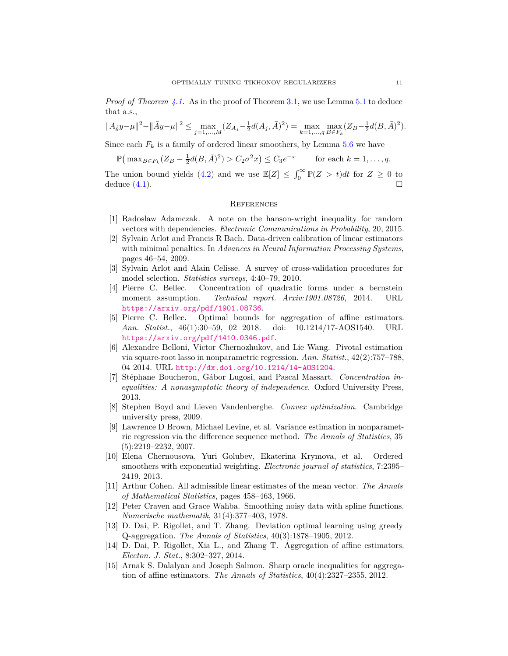*Proof of Theorem [4.1.](#page-5-0)* As in the proof of Theorem [3.1,](#page-4-1) we use Lemma [5.1](#page-6-0) to deduce that a.s.,

$$
||A_{\hat{\theta}}y-\mu||^2-||\bar{A}y-\mu||^2 \le \max_{j=1,...,M} (Z_{A_j}-\frac{1}{2}d(A_j,\bar{A})^2) = \max_{k=1,...,q} \max_{B \in F_k} (Z_B-\frac{1}{2}d(B,\bar{A})^2).
$$

Since each  $F_k$  is a family of ordered linear smoothers, by Lemma  $5.6$  we have

$$
\mathbb{P}\left(\max_{B\in\mathcal{F}_k} (Z_B - \frac{1}{2}d(B,\bar{A})^2) > C_2\sigma^2 x\right) \leq C_3 e^{-x} \qquad \text{for each } k = 1,\ldots,q.
$$

The union bound yields [\(4.2\)](#page-5-1) and we use  $\mathbb{E}[Z] \leq \int_0^\infty \mathbb{P}(Z > t) dt$  for  $Z \geq 0$  to deduce  $(4.1)$ .

## **REFERENCES**

- <span id="page-10-14"></span>[1] Radoslaw Adamczak. A note on the hanson-wright inequality for random vectors with dependencies. *Electronic Communications in Probability*, 20, 2015.
- <span id="page-10-8"></span>[2] Sylvain Arlot and Francis R Bach. Data-driven calibration of linear estimators with minimal penalties. In *Advances in Neural Information Processing Systems*, pages 46–54, 2009.
- <span id="page-10-7"></span>[3] Sylvain Arlot and Alain Celisse. A survey of cross-validation procedures for model selection. *Statistics surveys*, 4:40–79, 2010.
- <span id="page-10-13"></span>[4] Pierre C. Bellec. Concentration of quadratic forms under a bernstein moment assumption. *Technical report. Arxiv:1901.08726*, 2014. URL <https://arxiv.org/pdf/1901.08736>.
- <span id="page-10-3"></span>[5] Pierre C. Bellec. Optimal bounds for aggregation of affine estimators. *Ann. Statist.*, 46(1):30–59, 02 2018. doi: 10.1214/17-AOS1540. URL <https://arxiv.org/pdf/1410.0346.pdf>.
- <span id="page-10-10"></span>[6] Alexandre Belloni, Victor Chernozhukov, and Lie Wang. Pivotal estimation via square-root lasso in nonparametric regression. *Ann. Statist.*, 42(2):757–788, 04 2014. URL <http://dx.doi.org/10.1214/14-AOS1204>.
- <span id="page-10-12"></span>[7] Stéphane Boucheron, Gábor Lugosi, and Pascal Massart. *Concentration inequalities: A nonasymptotic theory of independence*. Oxford University Press, 2013.
- <span id="page-10-11"></span>[8] Stephen Boyd and Lieven Vandenberghe. *Convex optimization*. Cambridge university press, 2009.
- <span id="page-10-9"></span>[9] Lawrence D Brown, Michael Levine, et al. Variance estimation in nonparametric regression via the difference sequence method. *The Annals of Statistics*, 35 (5):2219–2232, 2007.
- <span id="page-10-1"></span>[10] Elena Chernousova, Yuri Golubev, Ekaterina Krymova, et al. Ordered smoothers with exponential weighting. *Electronic journal of statistics*, 7:2395– 2419, 2013.
- <span id="page-10-0"></span>[11] Arthur Cohen. All admissible linear estimates of the mean vector. *The Annals of Mathematical Statistics*, pages 458–463, 1966.
- <span id="page-10-6"></span>[12] Peter Craven and Grace Wahba. Smoothing noisy data with spline functions. *Numerische mathematik*, 31(4):377–403, 1978.
- <span id="page-10-4"></span>[13] D. Dai, P. Rigollet, and T. Zhang. Deviation optimal learning using greedy Q-aggregation. *The Annals of Statistics*, 40(3):1878–1905, 2012.
- <span id="page-10-5"></span>[14] D. Dai, P. Rigollet, Xia L., and Zhang T. Aggregation of affine estimators. *Electon. J. Stat.*, 8:302–327, 2014.
- <span id="page-10-2"></span>[15] Arnak S. Dalalyan and Joseph Salmon. Sharp oracle inequalities for aggregation of affine estimators. *The Annals of Statistics*, 40(4):2327–2355, 2012.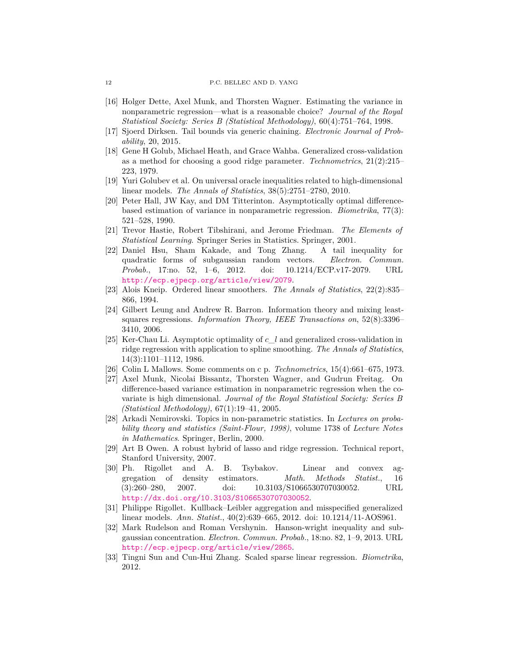- <span id="page-11-9"></span>[16] Holger Dette, Axel Munk, and Thorsten Wagner. Estimating the variance in nonparametric regression—what is a reasonable choice? *Journal of the Royal Statistical Society: Series B (Statistical Methodology)*, 60(4):751–764, 1998.
- <span id="page-11-17"></span>[17] Sjoerd Dirksen. Tail bounds via generic chaining. *Electronic Journal of Probability*, 20, 2015.
- <span id="page-11-4"></span>[18] Gene H Golub, Michael Heath, and Grace Wahba. Generalized cross-validation as a method for choosing a good ridge parameter. *Technometrics*, 21(2):215– 223, 1979.
- <span id="page-11-2"></span>[19] Yuri Golubev et al. On universal oracle inequalities related to high-dimensional linear models. *The Annals of Statistics*, 38(5):2751–2780, 2010.
- <span id="page-11-10"></span>[20] Peter Hall, JW Kay, and DM Titterinton. Asymptotically optimal differencebased estimation of variance in nonparametric regression. *Biometrika*, 77(3): 521–528, 1990.
- <span id="page-11-14"></span>[21] Trevor Hastie, Robert Tibshirani, and Jerome Friedman. *The Elements of Statistical Learning*. Springer Series in Statistics. Springer, 2001.
- <span id="page-11-16"></span>[22] Daniel Hsu, Sham Kakade, and Tong Zhang. A tail inequality for quadratic forms of subgaussian random vectors. *Electron. Commun. Probab.*, 17:no. 52, 1–6, 2012. doi: 10.1214/ECP.v17-2079. URL <http://ecp.ejpecp.org/article/view/2079>.
- <span id="page-11-0"></span>[23] Alois Kneip. Ordered linear smoothers. *The Annals of Statistics*, 22(2):835– 866, 1994.
- <span id="page-11-3"></span>[24] Gilbert Leung and Andrew R. Barron. Information theory and mixing leastsquares regressions. *Information Theory, IEEE Transactions on*, 52(8):3396– 3410, 2006.
- <span id="page-11-5"></span>[25] Ker-Chau Li. Asymptotic optimality of *c*\_*l* and generalized cross-validation in ridge regression with application to spline smoothing. *The Annals of Statistics*, 14(3):1101–1112, 1986.
- <span id="page-11-1"></span>[26] Colin L Mallows. Some comments on c p. *Technometrics*, 15(4):661–675, 1973.
- <span id="page-11-11"></span>[27] Axel Munk, Nicolai Bissantz, Thorsten Wagner, and Gudrun Freitag. On difference-based variance estimation in nonparametric regression when the covariate is high dimensional. *Journal of the Royal Statistical Society: Series B (Statistical Methodology)*, 67(1):19–41, 2005.
- <span id="page-11-6"></span>[28] Arkadi Nemirovski. Topics in non-parametric statistics. In *Lectures on probability theory and statistics (Saint-Flour, 1998)*, volume 1738 of *Lecture Notes in Mathematics*. Springer, Berlin, 2000.
- <span id="page-11-13"></span>[29] Art B Owen. A robust hybrid of lasso and ridge regression. Technical report, Stanford University, 2007.
- <span id="page-11-7"></span>[30] Ph. Rigollet and A. B. Tsybakov. Linear and convex aggregation of density estimators. *Math. Methods Statist.*, 16 (3):260–280, 2007. doi: 10.3103/S1066530707030052. URL <http://dx.doi.org/10.3103/S1066530707030052>.
- <span id="page-11-8"></span>[31] Philippe Rigollet. Kullback–Leibler aggregation and misspecified generalized linear models. *Ann. Statist.*, 40(2):639–665, 2012. doi: 10.1214/11-AOS961.
- <span id="page-11-15"></span>[32] Mark Rudelson and Roman Vershynin. Hanson-wright inequality and subgaussian concentration. *Electron. Commun. Probab.*, 18:no. 82, 1–9, 2013. URL <http://ecp.ejpecp.org/article/view/2865>.
- <span id="page-11-12"></span>[33] Tingni Sun and Cun-Hui Zhang. Scaled sparse linear regression. *Biometrika*, 2012.